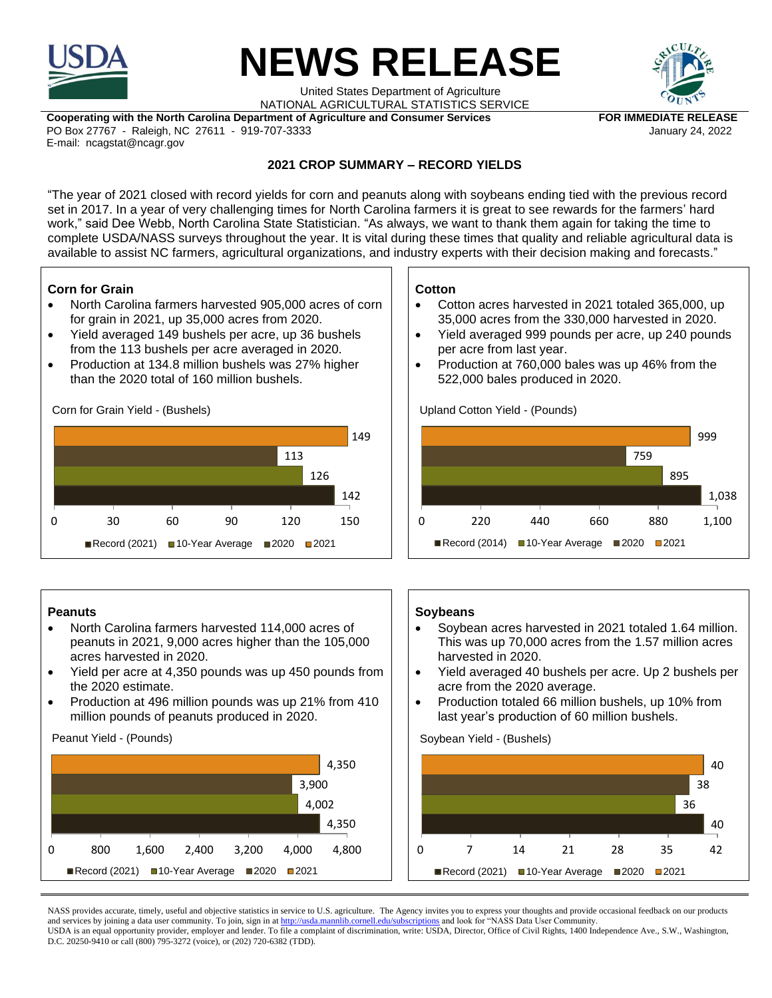

# **NEWS RELEASE**

United States Department of Agriculture NATIONAL AGRICULTURAL STATISTICS SERVICE



Cooperating with the North Carolina Department of Agriculture and Consumer Services **FOR IMMEDIATE RELEASE** PO Box 27767 - Raleigh, NC 27611 - 919-707-3333 January 24, 2022 E-mail: ncagstat@ncagr.gov

## **2021 CROP SUMMARY – RECORD YIELDS**

"The year of 2021 closed with record yields for corn and peanuts along with soybeans ending tied with the previous record set in 2017. In a year of very challenging times for North Carolina farmers it is great to see rewards for the farmers' hard work," said Dee Webb, North Carolina State Statistician. "As always, we want to thank them again for taking the time to complete USDA/NASS surveys throughout the year. It is vital during these times that quality and reliable agricultural data is available to assist NC farmers, agricultural organizations, and industry experts with their decision making and forecasts."

### **Corn for Grain**

- North Carolina farmers harvested 905,000 acres of corn for grain in 2021, up 35,000 acres from 2020.
- Yield averaged 149 bushels per acre, up 36 bushels from the 113 bushels per acre averaged in 2020.
- Production at 134.8 million bushels was 27% higher than the 2020 total of 160 million bushels.

Corn for Grain Yield - (Bushels)



### **Peanuts**

- North Carolina farmers harvested 114,000 acres of peanuts in 2021, 9,000 acres higher than the 105,000 acres harvested in 2020.
- Yield per acre at 4,350 pounds was up 450 pounds from the 2020 estimate.
- Production at 496 million pounds was up 21% from 410 million pounds of peanuts produced in 2020.

Peanut Yield - (Pounds)



### **Cotton**

- Cotton acres harvested in 2021 totaled 365,000, up 35,000 acres from the 330,000 harvested in 2020.
- Yield averaged 999 pounds per acre, up 240 pounds per acre from last year.
- Production at 760,000 bales was up 46% from the 522,000 bales produced in 2020.

Upland Cotton Yield - (Pounds)



### **Soybeans**

- Soybean acres harvested in 2021 totaled 1.64 million. This was up 70,000 acres from the 1.57 million acres harvested in 2020.
- Yield averaged 40 bushels per acre. Up 2 bushels per acre from the 2020 average.
- Production totaled 66 million bushels, up 10% from last year's production of 60 million bushels.

Soybean Yield - (Bushels)



NASS provides accurate, timely, useful and objective statistics in service to U.S. agriculture. The Agency invites you to express your thoughts and provide occasional feedback on our products and services by joining a data user community. To join, sign in a[t http://usda.mannlib.cornell.edu/subscriptions](http://usda.mannlib.cornell.edu/subscriptions) and look for "NASS Data User Community. USDA is an equal opportunity provider, employer and lender. To file a complaint of discrimination, write: USDA, Director, Office of Civil Rights, 1400 Independence Ave., S.W., Washington, D.C. 20250-9410 or call (800) 795-3272 (voice), or (202) 720-6382 (TDD).